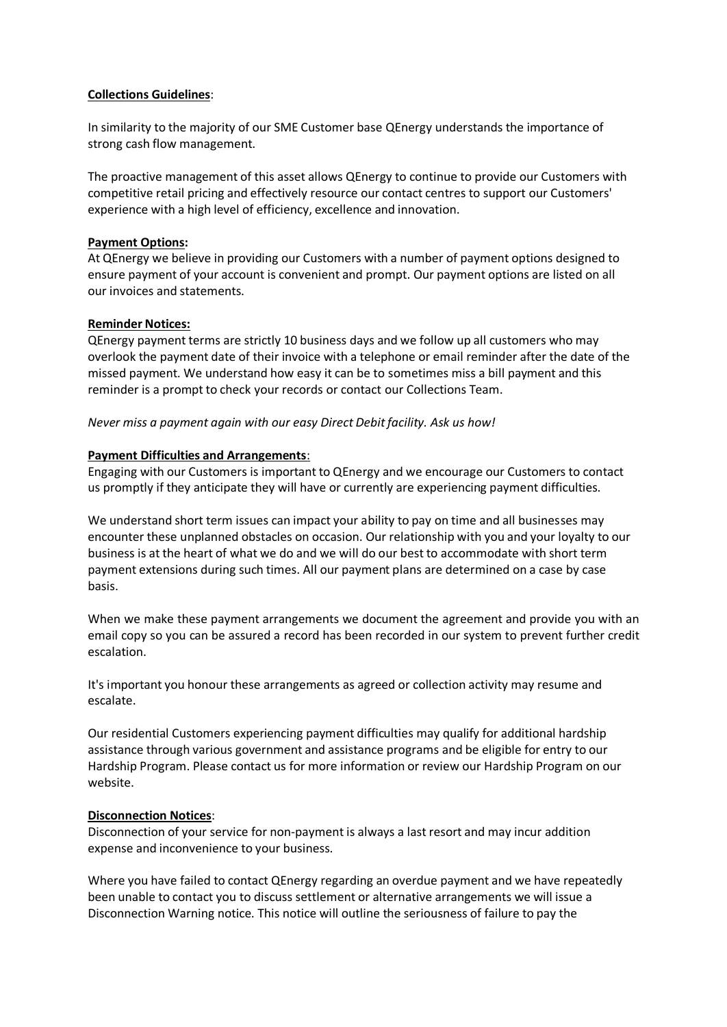### **Collections Guidelines**:

In similarity to the majority of our SME Customer base QEnergy understands the importance of strong cash flow management.

The proactive management of this asset allows QEnergy to continue to provide our Customers with competitive retail pricing and effectively resource our contact centres to support our Customers' experience with a high level of efficiency, excellence and innovation.

## **Payment Options:**

At QEnergy we believe in providing our Customers with a number of payment options designed to ensure payment of your account is convenient and prompt. Our payment options are listed on all our invoices and statements.

## **Reminder Notices:**

QEnergy payment terms are strictly 10 business days and we follow up all customers who may overlook the payment date of their invoice with a telephone or email reminder after the date of the missed payment. We understand how easy it can be to sometimes miss a bill payment and this reminder is a prompt to check your records or contact our Collections Team.

## *Never miss a payment again with our easy Direct Debitfacility. Ask us how!*

## **Payment Difficulties and Arrangements**:

Engaging with our Customers is important to QEnergy and we encourage our Customers to contact us promptly if they anticipate they will have or currently are experiencing payment difficulties.

We understand short term issues can impact your ability to pay on time and all businesses may encounter these unplanned obstacles on occasion. Our relationship with you and your loyalty to our business is at the heart of what we do and we will do our best to accommodate with short term payment extensions during such times. All our payment plans are determined on a case by case basis.

When we make these payment arrangements we document the agreement and provide you with an email copy so you can be assured a record has been recorded in our system to prevent further credit escalation.

It's important you honour these arrangements as agreed or collection activity may resume and escalate.

Our residential Customers experiencing payment difficulties may qualify for additional hardship assistance through various government and assistance programs and be eligible for entry to our Hardship Program. Please contact us for more information or review our Hardship Program on our website.

### **Disconnection Notices**:

Disconnection of your service for non-payment is always a last resort and may incur addition expense and inconvenience to your business.

Where you have failed to contact QEnergy regarding an overdue payment and we have repeatedly been unable to contact you to discuss settlement or alternative arrangements we will issue a Disconnection Warning notice. This notice will outline the seriousness of failure to pay the